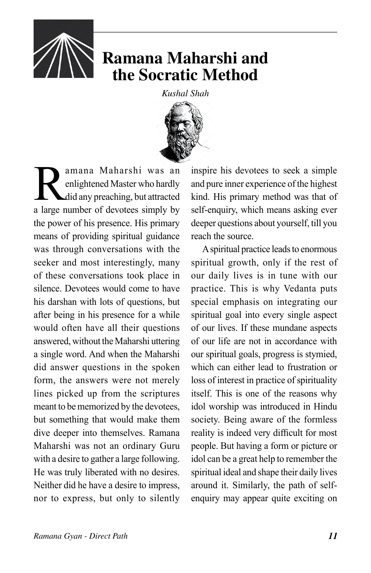

## **Ramana Maharshi and the Socratic Method**

*Kushal Shah*



**Ramana Maharshi was an**<br>enlightened Master who hardly<br>did any preaching, but attracted<br>a large number of devotees simply by enlightened Master who hardly did any preaching, but attracted a large number of devotees simply by the power of his presence. His primary means of providing spiritual guidance was through conversations with the seeker and most interestingly, many of these conversations took place in silence. Devotees would come to have his darshan with lots of questions, but after being in his presence for a while would often have all their questions answered, without the Maharshi uttering a single word. And when the Maharshi did answer questions in the spoken form, the answers were not merely lines picked up from the scriptures meant to be memorized by the devotees, but something that would make them dive deeper into themselves. Ramana Maharshi was not an ordinary Guru with a desire to gather a large following. He was truly liberated with no desires. Neither did he have a desire to impress, nor to express, but only to silently

inspire his devotees to seek a simple and pure inner experience of the highest kind. His primary method was that of self-enquiry, which means asking ever deeper questions about yourself, till you reach the source.

A spiritual practice leads to enormous spiritual growth, only if the rest of our daily lives is in tune with our practice. This is why Vedanta puts special emphasis on integrating our spiritual goal into every single aspect of our lives. If these mundane aspects of our life are not in accordance with our spiritual goals, progress is stymied, which can either lead to frustration or loss of interest in practice of spirituality itself. This is one of the reasons why idol worship was introduced in Hindu society. Being aware of the formless reality is indeed very difficult for most people. But having a form or picture or idol can be a great help to remember the spiritual ideal and shape their daily lives around it. Similarly, the path of selfenquiry may appear quite exciting on